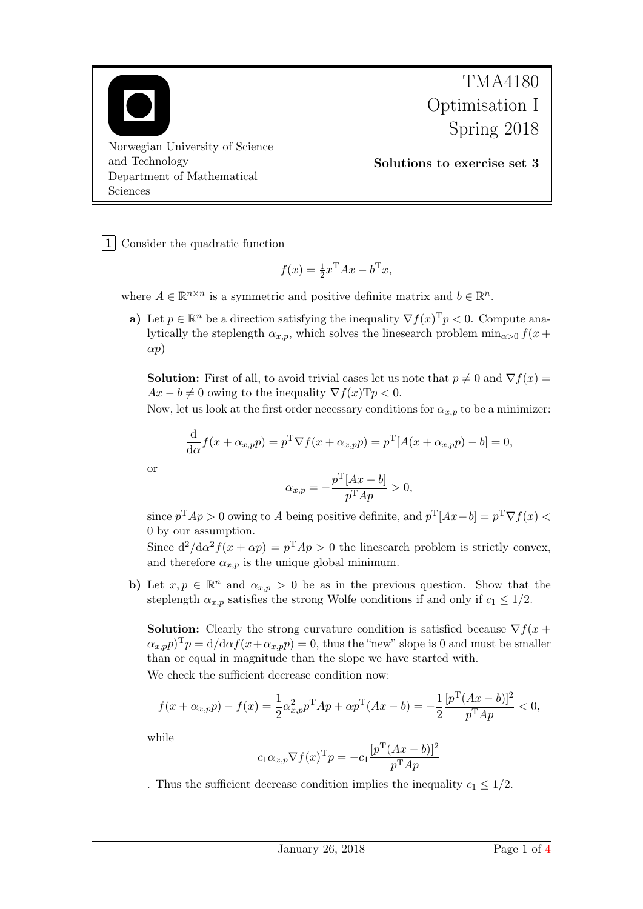

TMA4180 Optimisation I Spring 2018

Solutions to exercise set 3

1 Consider the quadratic function

$$
f(x) = \frac{1}{2}x^{\mathrm{T}}Ax - b^{\mathrm{T}}x,
$$

where  $A \in \mathbb{R}^{n \times n}$  is a symmetric and positive definite matrix and  $b \in \mathbb{R}^n$ .

a) Let  $p \in \mathbb{R}^n$  be a direction satisfying the inequality  $\nabla f(x)^T p < 0$ . Compute analytically the steplength  $\alpha_{x,p}$ , which solves the linesearch problem  $\min_{\alpha>0} f(x +$  $\alpha p$ )

**Solution:** First of all, to avoid trivial cases let us note that  $p \neq 0$  and  $\nabla f(x) =$  $Ax - b \neq 0$  owing to the inequality  $\nabla f(x)Tp < 0$ .

Now, let us look at the first order necessary conditions for  $\alpha_{x,p}$  to be a minimizer:

$$
\frac{\mathrm{d}}{\mathrm{d}\alpha}f(x+\alpha_{x,p}p)=p^{\mathrm{T}}\nabla f(x+\alpha_{x,p}p)=p^{\mathrm{T}}[A(x+\alpha_{x,p}p)-b]=0,
$$

or

$$
\alpha_{x,p} = -\frac{p^{\mathrm{T}}[Ax - b]}{p^{\mathrm{T}}Ap} > 0,
$$

since  $p^{\mathrm{T}}Ap > 0$  owing to A being positive definite, and  $p^{\mathrm{T}}[Ax - b] = p^{\mathrm{T}} \nabla f(x)$ 0 by our assumption.

Since  $d^2/d\alpha^2 f(x + \alpha p) = p^T A p > 0$  the linesearch problem is strictly convex, and therefore  $\alpha_{x,p}$  is the unique global minimum.

b) Let  $x, p \in \mathbb{R}^n$  and  $\alpha_{x,p} > 0$  be as in the previous question. Show that the steplength  $\alpha_{x,p}$  satisfies the strong Wolfe conditions if and only if  $c_1 \leq 1/2$ .

**Solution:** Clearly the strong curvature condition is satisfied because  $\nabla f(x + \mathbf{r})$  $(\alpha_{x,p} p)^{\mathrm{T}} p = d/d\alpha f(x + \alpha_{x,p} p) = 0$ , thus the "new" slope is 0 and must be smaller than or equal in magnitude than the slope we have started with. We check the sufficient decrease condition now:

$$
f(x + \alpha_{x,p}p) - f(x) = \frac{1}{2}\alpha_{x,p}^2 p^{\mathrm{T}} A p + \alpha p^{\mathrm{T}} (Ax - b) = -\frac{1}{2} \frac{[p^{\mathrm{T}} (Ax - b)]^2}{p^{\mathrm{T}} Ap} < 0,
$$

while

$$
c_1 \alpha_{x,p} \nabla f(x)^{\mathrm{T}} p = -c_1 \frac{[p^{\mathrm{T}} (Ax - b)]^2}{p^{\mathrm{T}} Ap}
$$

. Thus the sufficient decrease condition implies the inequality  $c_1 \leq 1/2$ .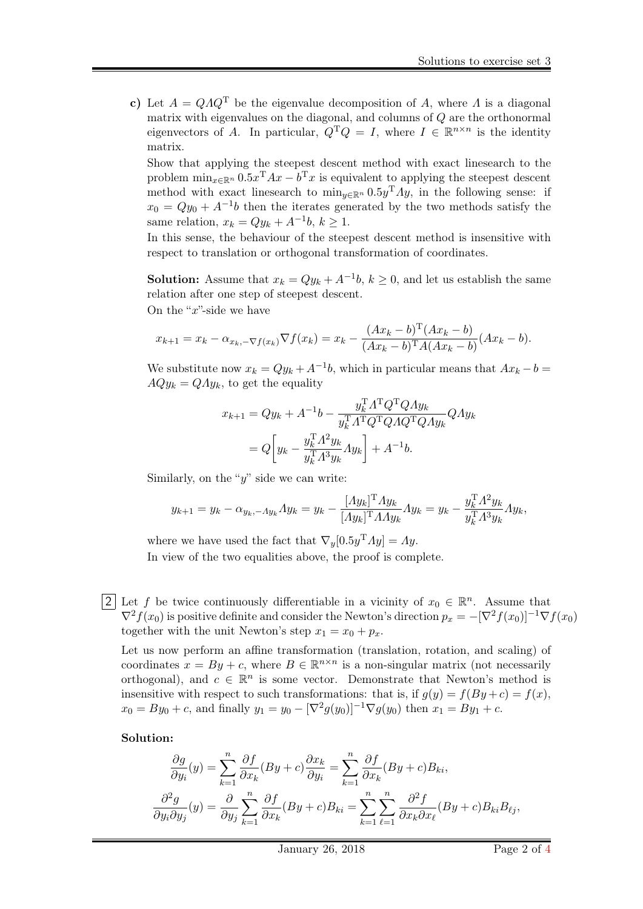c) Let  $A = QAQ^T$  be the eigenvalue decomposition of A, where A is a diagonal matrix with eigenvalues on the diagonal, and columns of Q are the orthonormal eigenvectors of A. In particular,  $Q^T Q = I$ , where  $I \in \mathbb{R}^{n \times n}$  is the identity matrix.

Show that applying the steepest descent method with exact linesearch to the problem  $\min_{x \in \mathbb{R}^n} 0.5x^{\mathrm{T}} A x - b^{\mathrm{T}} x$  is equivalent to applying the steepest descent method with exact linesearch to  $\min_{y \in \mathbb{R}^n} 0.5y^{\mathrm{T}} \Lambda y$ , in the following sense: if  $x_0 = Qy_0 + A^{-1}b$  then the iterates generated by the two methods satisfy the same relation,  $x_k = Qy_k + A^{-1}b, k \ge 1$ .

In this sense, the behaviour of the steepest descent method is insensitive with respect to translation or orthogonal transformation of coordinates.

**Solution:** Assume that  $x_k = Qy_k + A^{-1}b$ ,  $k \ge 0$ , and let us establish the same relation after one step of steepest descent.

On the "x"-side we have

$$
x_{k+1} = x_k - \alpha_{x_k, -\nabla f(x_k)} \nabla f(x_k) = x_k - \frac{(Ax_k - b)^{\mathrm{T}}(Ax_k - b)}{(Ax_k - b)^{\mathrm{T}}A(Ax_k - b)} (Ax_k - b).
$$

We substitute now  $x_k = Qy_k + A^{-1}b$ , which in particular means that  $Ax_k - b =$  $AQy_k = QAy_k$ , to get the equality

$$
x_{k+1} = Qy_k + A^{-1}b - \frac{y_k^T A^T Q^T Q A y_k}{y_k^T A^T Q^T Q A Q^T Q A y_k}
$$
  
= 
$$
Q \left[ y_k - \frac{y_k^T A^2 y_k}{y_k^T A^3 y_k} A y_k \right] + A^{-1}b.
$$

Similarly, on the " $y$ " side we can write:

$$
y_{k+1} = y_k - \alpha_{y_k, -\Lambda y_k} \Lambda y_k = y_k - \frac{[\Lambda y_k]^{\mathrm{T}} \Lambda y_k}{[\Lambda y_k]^{\mathrm{T}} \Lambda \Lambda y_k} \Lambda y_k = y_k - \frac{y_k^{\mathrm{T}} \Lambda^2 y_k}{y_k^{\mathrm{T}} \Lambda^3 y_k} \Lambda y_k,
$$

where we have used the fact that  $\nabla_y[0.5y^T A y] = Ay$ . In view of the two equalities above, the proof is complete.

2 Let f be twice continuously differentiable in a vicinity of  $x_0 \in \mathbb{R}^n$ . Assume that  $\nabla^2 f(x_0)$  is positive definite and consider the Newton's direction  $p_x = -[\nabla^2 f(x_0)]^{-1} \nabla f(x_0)$ together with the unit Newton's step  $x_1 = x_0 + p_x$ .

Let us now perform an affine transformation (translation, rotation, and scaling) of coordinates  $x = By + c$ , where  $B \in \mathbb{R}^{n \times n}$  is a non-singular matrix (not necessarily orthogonal), and  $c \in \mathbb{R}^n$  is some vector. Demonstrate that Newton's method is insensitive with respect to such transformations: that is, if  $g(y) = f(By + c) = f(x)$ ,  $x_0 = By_0 + c$ , and finally  $y_1 = y_0 - [\nabla^2 g(y_0)]^{-1} \nabla g(y_0)$  then  $x_1 = By_1 + c$ .

## Solution:

$$
\frac{\partial g}{\partial y_i}(y) = \sum_{k=1}^n \frac{\partial f}{\partial x_k}(By + c) \frac{\partial x_k}{\partial y_i} = \sum_{k=1}^n \frac{\partial f}{\partial x_k}(By + c)B_{ki},
$$

$$
\frac{\partial^2 g}{\partial y_i \partial y_j}(y) = \frac{\partial}{\partial y_j} \sum_{k=1}^n \frac{\partial f}{\partial x_k}(By + c)B_{ki} = \sum_{k=1}^n \sum_{\ell=1}^n \frac{\partial^2 f}{\partial x_k \partial x_\ell}(By + c)B_{ki}B_{\ell j},
$$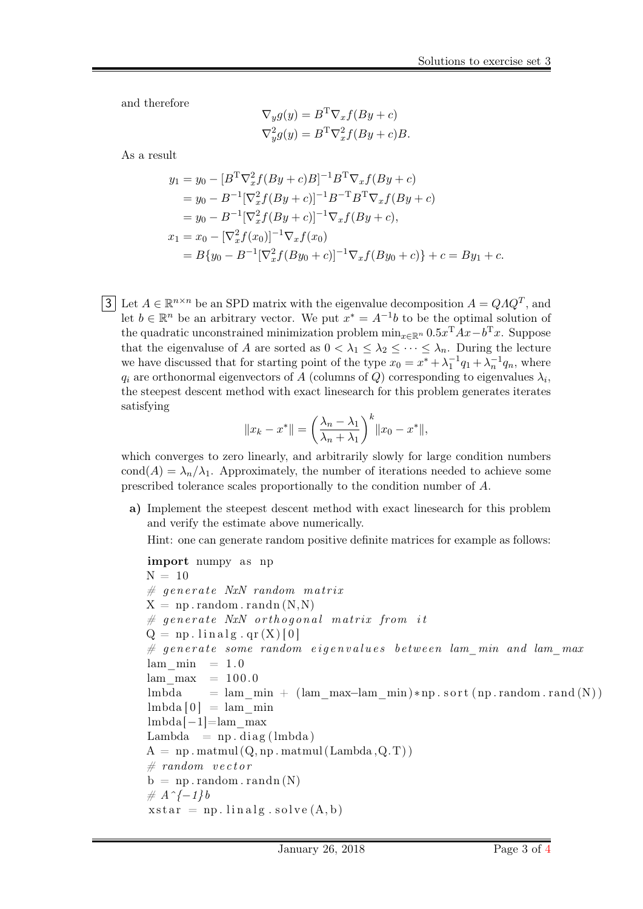and therefore

$$
\nabla_y g(y) = B^{\mathrm{T}} \nabla_x f(By + c)
$$
  

$$
\nabla_y^2 g(y) = B^{\mathrm{T}} \nabla_x^2 f(By + c)B.
$$

As a result

$$
y_1 = y_0 - [B^T \nabla_x^2 f (By + c) B]^{-1} B^T \nabla_x f (By + c)
$$
  
\n
$$
= y_0 - B^{-1} [\nabla_x^2 f (By + c)]^{-1} B^{-T} B^T \nabla_x f (By + c)
$$
  
\n
$$
= y_0 - B^{-1} [\nabla_x^2 f (By + c)]^{-1} \nabla_x f (By + c),
$$
  
\n
$$
x_1 = x_0 - [\nabla_x^2 f (x_0)]^{-1} \nabla_x f (x_0)
$$
  
\n
$$
= B \{ y_0 - B^{-1} [\nabla_x^2 f (By_0 + c)]^{-1} \nabla_x f (By_0 + c) \} + c = By_1 + c.
$$

3 Let  $A \in \mathbb{R}^{n \times n}$  be an SPD matrix with the eigenvalue decomposition  $A = QAQ^T$ , and let  $b \in \mathbb{R}^n$  be an arbitrary vector. We put  $x^* = A^{-1}b$  to be the optimal solution of the quadratic unconstrained minimization problem  $\min_{x \in \mathbb{R}^n} 0.5x^{\mathrm{T}} Ax - b^{\mathrm{T}} x$ . Suppose that the eigenvaluse of A are sorted as  $0 < \lambda_1 \leq \lambda_2 \leq \cdots \leq \lambda_n$ . During the lecture we have discussed that for starting point of the type  $x_0 = x^* + \lambda_1^{-1} q_1 + \lambda_2^{-1} q_n$ , where  $q_i$  are orthonormal eigenvectors of  $A$  (columns of  $Q$ ) corresponding to eigenvalues  $\lambda_i$ , the steepest descent method with exact linesearch for this problem generates iterates satisfying

$$
||x_k - x^*|| = \left(\frac{\lambda_n - \lambda_1}{\lambda_n + \lambda_1}\right)^k ||x_0 - x^*||,
$$

which converges to zero linearly, and arbitrarily slowly for large condition numbers cond(A) =  $\lambda_n/\lambda_1$ . Approximately, the number of iterations needed to achieve some prescribed tolerance scales proportionally to the condition number of A.

a) Implement the steepest descent method with exact linesearch for this problem and verify the estimate above numerically.

Hint: one can generate random positive definite matrices for example as follows:

```
import numpy as np
N = 10\# generate NxN random matrix
X = np.random.random(N, N)\# generate NxN orthogonal matrix from it
Q = np. linalg. qr (X) [0]
\# generate some random eigenvalues between lam min and lam max
lam min = 1.0
lam max = 100.0lmbda = lam_min + (lam_max–lam_min)∗np . s o r t ( np . random . rand (N) )
\text{lmbda} [0] = \text{lam} min
lmbda[−1]=lam_max
Lambda = np \cdot diag (lmbda)A = np \cdot \text{matmul}(Q, np \cdot \text{matmul}(\text{Lambda}, Q.T))# random vector
b = np.random.random(N)\# A^{\wedge} \{-1\}b
xstar = np. linalg. solve (A, b)
```